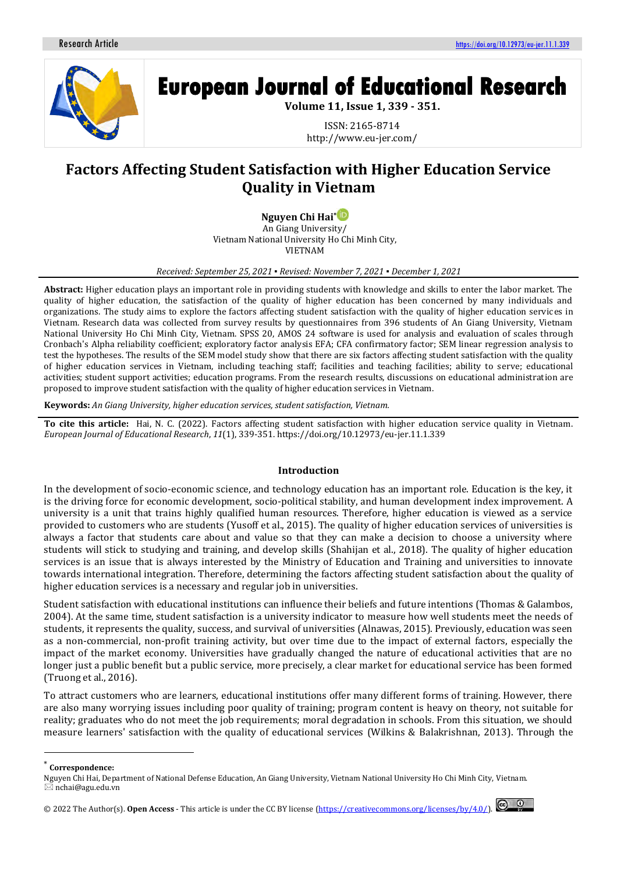

# **European Journal of Educational Research**

**Volume 11, Issue 1, 339 - 351.**

ISSN: 2165-8714 http://www.eu-jer.com/

# **Factors Affecting Student Satisfaction with Higher Education Service Quality in Vietnam**

**Nguyen Chi Hai[\\*](https://orcid.org/0000-0002-5975-1824)**

An Giang University/ Vietnam National University Ho Chi Minh City, VIETNAM

*Received: September 25, 2021 ▪ Revised: November 7, 2021 ▪ December 1, 2021*

**Abstract:** Higher education plays an important role in providing students with knowledge and skills to enter the labor market. The quality of higher education, the satisfaction of the quality of higher education has been concerned by many individuals and organizations. The study aims to explore the factors affecting student satisfaction with the quality of higher education services in Vietnam. Research data was collected from survey results by questionnaires from 396 students of An Giang University, Vietnam National University Ho Chi Minh City, Vietnam. SPSS 20, AMOS 24 software is used for analysis and evaluation of scales through Cronbach's Alpha reliability coefficient; exploratory factor analysis EFA; CFA confirmatory factor; SEM linear regression analysis to test the hypotheses. The results of the SEM model study show that there are six factors affecting student satisfaction with the quality of higher education services in Vietnam, including teaching staff; facilities and teaching facilities; ability to serve; educational activities; student support activities; education programs. From the research results, discussions on educational administration are proposed to improve student satisfaction with the quality of higher education services in Vietnam.

**Keywords:** *An Giang University, higher education services, student satisfaction, Vietnam.*

**To cite this article:** Hai, N. C. (2022). Factors affecting student satisfaction with higher education service quality in Vietnam. *European Journal of Educational Research*, *11*(1), 339-351. https://doi.org/10.12973/eu-jer.11.1.339

# **Introduction**

In the development of socio-economic science, and technology education has an important role. Education is the key, it is the driving force for economic development, socio-political stability, and human development index improvement. A university is a unit that trains highly qualified human resources. Therefore, higher education is viewed as a service provided to customers who are students (Yusoff et al., 2015). The quality of higher education services of universities is always a factor that students care about and value so that they can make a decision to choose a university where students will stick to studying and training, and develop skills (Shahijan et al., 2018). The quality of higher education services is an issue that is always interested by the Ministry of Education and Training and universities to innovate towards international integration. Therefore, determining the factors affecting student satisfaction about the quality of higher education services is a necessary and regular job in universities.

Student satisfaction with educational institutions can influence their beliefs and future intentions (Thomas & Galambos, 2004). At the same time, student satisfaction is a university indicator to measure how well students meet the needs of students, it represents the quality, success, and survival of universities (Alnawas, 2015). Previously, education was seen as a non-commercial, non-profit training activity, but over time due to the impact of external factors, especially the impact of the market economy. Universities have gradually changed the nature of educational activities that are no longer just a public benefit but a public service, more precisely, a clear market for educational service has been formed (Truong et al., 2016).

To attract customers who are learners, educational institutions offer many different forms of training. However, there are also many worrying issues including poor quality of training; program content is heavy on theory, not suitable for reality; graduates who do not meet the job requirements; moral degradation in schools. From this situation, we should measure learners' satisfaction with the quality of educational services (Wilkins & Balakrishnan, 2013). Through the

<sup>© 20</sup>22 The Author(s).**Open Access** - This article is under the CC BY license [\(https://creativecommons.org/licenses/by/4.0/\)](https://creativecommons.org/licenses/by/4.0/).



<sup>\*</sup> **Correspondence:**

Nguyen Chi Hai, Department of National Defense Education, An Giang University, Vietnam National University Ho Chi Minh City, Vietnam. nchai@agu.edu.vn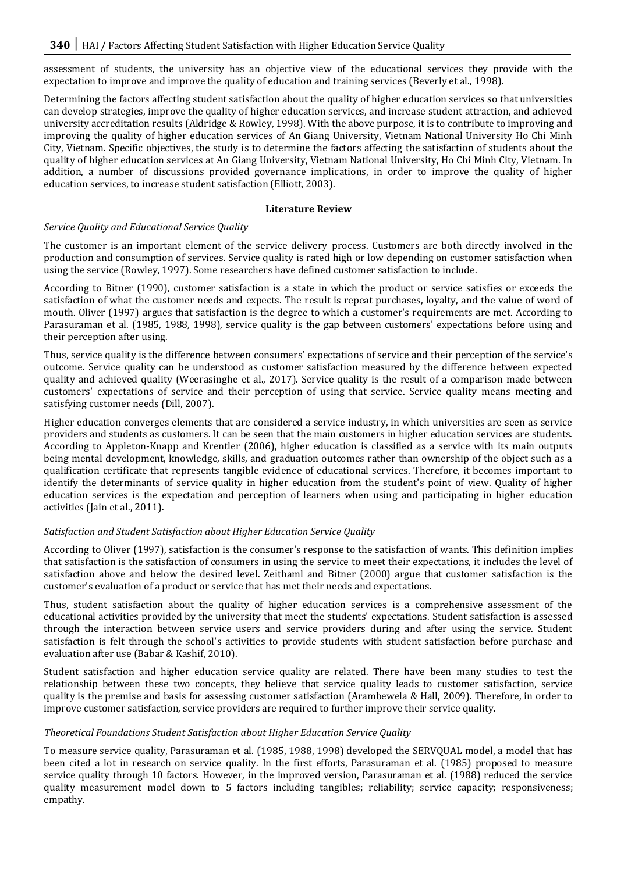assessment of students, the university has an objective view of the educational services they provide with the expectation to improve and improve the quality of education and training services (Beverly et al., 1998).

Determining the factors affecting student satisfaction about the quality of higher education services so that universities can develop strategies, improve the quality of higher education services, and increase student attraction, and achieved university accreditation results (Aldridge & Rowley, 1998). With the above purpose, it is to contribute to improving and improving the quality of higher education services of An Giang University, Vietnam National University Ho Chi Minh City, Vietnam. Specific objectives, the study is to determine the factors affecting the satisfaction of students about the quality of higher education services at An Giang University, Vietnam National University, Ho Chi Minh City, Vietnam. In addition, a number of discussions provided governance implications, in order to improve the quality of higher education services, to increase student satisfaction (Elliott, 2003).

# **Literature Review**

# *Service Quality and Educational Service Quality*

The customer is an important element of the service delivery process. Customers are both directly involved in the production and consumption of services. Service quality is rated high or low depending on customer satisfaction when using the service (Rowley, 1997). Some researchers have defined customer satisfaction to include.

According to Bitner (1990), customer satisfaction is a state in which the product or service satisfies or exceeds the satisfaction of what the customer needs and expects. The result is repeat purchases, loyalty, and the value of word of mouth. Oliver (1997) argues that satisfaction is the degree to which a customer's requirements are met. According to Parasuraman et al. (1985, 1988, 1998), service quality is the gap between customers' expectations before using and their perception after using.

Thus, service quality is the difference between consumers' expectations of service and their perception of the service's outcome. Service quality can be understood as customer satisfaction measured by the difference between expected quality and achieved quality (Weerasinghe et al., 2017). Service quality is the result of a comparison made between customers' expectations of service and their perception of using that service. Service quality means meeting and satisfying customer needs (Dill, 2007).

Higher education converges elements that are considered a service industry, in which universities are seen as service providers and students as customers. It can be seen that the main customers in higher education services are students. According to Appleton-Knapp and Krentler (2006), higher education is classified as a service with its main outputs being mental development, knowledge, skills, and graduation outcomes rather than ownership of the object such as a qualification certificate that represents tangible evidence of educational services. Therefore, it becomes important to identify the determinants of service quality in higher education from the student's point of view. Quality of higher education services is the expectation and perception of learners when using and participating in higher education activities (Jain et al., 2011).

# *Satisfaction and Student Satisfaction about Higher Education Service Quality*

According to Oliver (1997), satisfaction is the consumer's response to the satisfaction of wants. This definition implies that satisfaction is the satisfaction of consumers in using the service to meet their expectations, it includes the level of satisfaction above and below the desired level. Zeithaml and Bitner (2000) argue that customer satisfaction is the customer's evaluation of a product or service that has met their needs and expectations.

Thus, student satisfaction about the quality of higher education services is a comprehensive assessment of the educational activities provided by the university that meet the students' expectations. Student satisfaction is assessed through the interaction between service users and service providers during and after using the service. Student satisfaction is felt through the school's activities to provide students with student satisfaction before purchase and evaluation after use (Babar & Kashif, 2010).

Student satisfaction and higher education service quality are related. There have been many studies to test the relationship between these two concepts, they believe that service quality leads to customer satisfaction, service quality is the premise and basis for assessing customer satisfaction (Arambewela & Hall, 2009). Therefore, in order to improve customer satisfaction, service providers are required to further improve their service quality.

# *Theoretical Foundations Student Satisfaction about Higher Education Service Quality*

To measure service quality, Parasuraman et al. (1985, 1988, 1998) developed the SERVQUAL model, a model that has been cited a lot in research on service quality. In the first efforts, Parasuraman et al. (1985) proposed to measure service quality through 10 factors. However, in the improved version, Parasuraman et al. (1988) reduced the service quality measurement model down to 5 factors including tangibles; reliability; service capacity; responsiveness; empathy.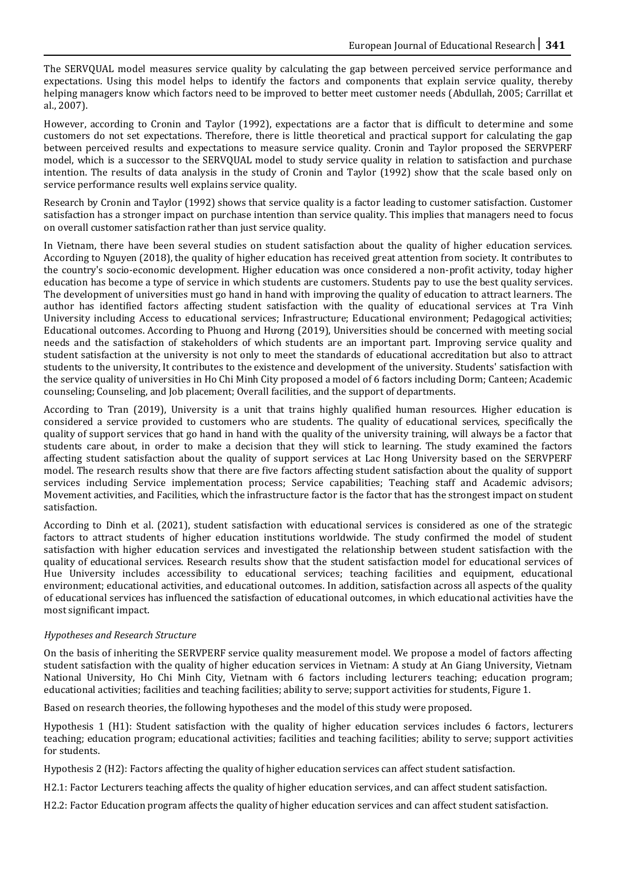The SERVQUAL model measures service quality by calculating the gap between perceived service performance and expectations. Using this model helps to identify the factors and components that explain service quality, thereby helping managers know which factors need to be improved to better meet customer needs (Abdullah, 2005; Carrillat et al., 2007).

However, according to Cronin and Taylor (1992), expectations are a factor that is difficult to determine and some customers do not set expectations. Therefore, there is little theoretical and practical support for calculating the gap between perceived results and expectations to measure service quality. Cronin and Taylor proposed the SERVPERF model, which is a successor to the SERVQUAL model to study service quality in relation to satisfaction and purchase intention. The results of data analysis in the study of Cronin and Taylor (1992) show that the scale based only on service performance results well explains service quality.

Research by Cronin and Taylor (1992) shows that service quality is a factor leading to customer satisfaction. Customer satisfaction has a stronger impact on purchase intention than service quality. This implies that managers need to focus on overall customer satisfaction rather than just service quality.

In Vietnam, there have been several studies on student satisfaction about the quality of higher education services. According to Nguyen (2018), the quality of higher education has received great attention from society. It contributes to the country's socio-economic development. Higher education was once considered a non-profit activity, today higher education has become a type of service in which students are customers. Students pay to use the best quality services. The development of universities must go hand in hand with improving the quality of education to attract learners. The author has identified factors affecting student satisfaction with the quality of educational services at Tra Vinh University including Access to educational services; Infrastructure; Educational environment; Pedagogical activities; Educational outcomes. According to Phuong and Hương (2019), Universities should be concerned with meeting social needs and the satisfaction of stakeholders of which students are an important part. Improving service quality and student satisfaction at the university is not only to meet the standards of educational accreditation but also to attract students to the university, It contributes to the existence and development of the university. Students' satisfaction with the service quality of universities in Ho Chi Minh City proposed a model of 6 factors including Dorm; Canteen; Academic counseling; Counseling, and Job placement; Overall facilities, and the support of departments.

According to Tran (2019), University is a unit that trains highly qualified human resources. Higher education is considered a service provided to customers who are students. The quality of educational services, specifically the quality of support services that go hand in hand with the quality of the university training, will always be a factor that students care about, in order to make a decision that they will stick to learning. The study examined the factors affecting student satisfaction about the quality of support services at Lac Hong University based on the SERVPERF model. The research results show that there are five factors affecting student satisfaction about the quality of support services including Service implementation process; Service capabilities; Teaching staff and Academic advisors; Movement activities, and Facilities, which the infrastructure factor is the factor that has the strongest impact on student satisfaction.

According to Dinh et al. (2021), student satisfaction with educational services is considered as one of the strategic factors to attract students of higher education institutions worldwide. The study confirmed the model of student satisfaction with higher education services and investigated the relationship between student satisfaction with the quality of educational services. Research results show that the student satisfaction model for educational services of Hue University includes accessibility to educational services; teaching facilities and equipment, educational environment; educational activities, and educational outcomes. In addition, satisfaction across all aspects of the quality of educational services has influenced the satisfaction of educational outcomes, in which educational activities have the most significant impact.

# *Hypotheses and Research Structure*

On the basis of inheriting the SERVPERF service quality measurement model. We propose a model of factors affecting student satisfaction with the quality of higher education services in Vietnam: A study at An Giang University, Vietnam National University, Ho Chi Minh City, Vietnam with 6 factors including lecturers teaching; education program; educational activities; facilities and teaching facilities; ability to serve; support activities for students, Figure 1.

Based on research theories, the following hypotheses and the model of this study were proposed.

Hypothesis 1 (H1): Student satisfaction with the quality of higher education services includes 6 factors, lecturers teaching; education program; educational activities; facilities and teaching facilities; ability to serve; support activities for students.

Hypothesis 2 (H2): Factors affecting the quality of higher education services can affect student satisfaction.

H2.1: Factor Lecturers teaching affects the quality of higher education services, and can affect student satisfaction.

H2.2: Factor Education program affects the quality of higher education services and can affect student satisfaction.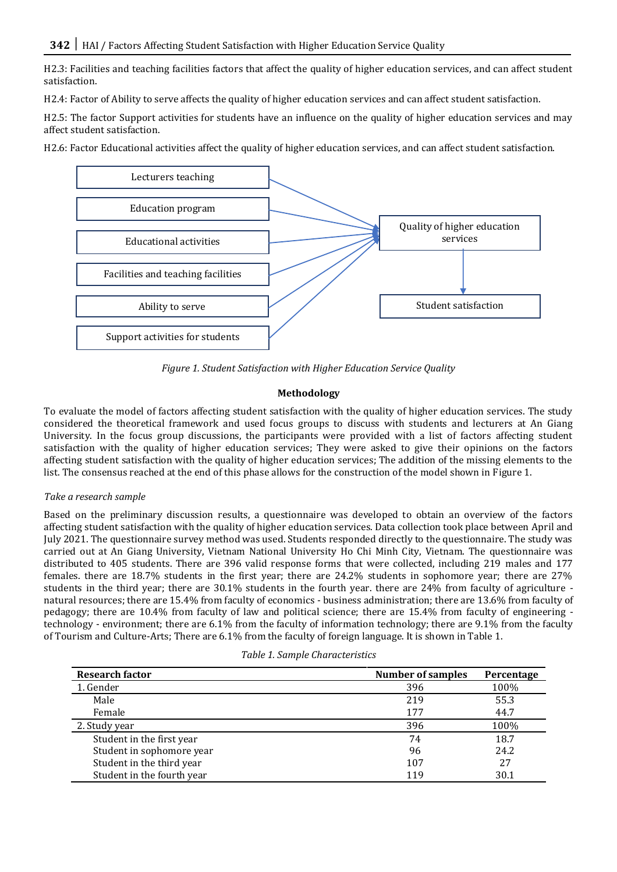H2.3: Facilities and teaching facilities factors that affect the quality of higher education services, and can affect student satisfaction.

H2.4: Factor of Ability to serve affects the quality of higher education services and can affect student satisfaction.

H2.5: The factor Support activities for students have an influence on the quality of higher education services and may affect student satisfaction.

H2.6: Factor Educational activities affect the quality of higher education services, and can affect student satisfaction.



*Figure 1. Student Satisfaction with Higher Education Service Quality*

# **Methodology**

To evaluate the model of factors affecting student satisfaction with the quality of higher education services. The study considered the theoretical framework and used focus groups to discuss with students and lecturers at An Giang University. In the focus group discussions, the participants were provided with a list of factors affecting student satisfaction with the quality of higher education services; They were asked to give their opinions on the factors affecting student satisfaction with the quality of higher education services; The addition of the missing elements to the list. The consensus reached at the end of this phase allows for the construction of the model shown in Figure 1.

## *Take a research sample*

Based on the preliminary discussion results, a questionnaire was developed to obtain an overview of the factors affecting student satisfaction with the quality of higher education services. Data collection took place between April and July 2021. The questionnaire survey method was used. Students responded directly to the questionnaire. The study was carried out at An Giang University, Vietnam National University Ho Chi Minh City, Vietnam. The questionnaire was distributed to 405 students. There are 396 valid response forms that were collected, including 219 males and 177 females. there are 18.7% students in the first year; there are 24.2% students in sophomore year; there are 27% students in the third year; there are 30.1% students in the fourth year. there are 24% from faculty of agriculture natural resources; there are 15.4% from faculty of economics - business administration; there are 13.6% from faculty of pedagogy; there are 10.4% from faculty of law and political science; there are 15.4% from faculty of engineering technology - environment; there are 6.1% from the faculty of information technology; there are 9.1% from the faculty of Tourism and Culture-Arts; There are 6.1% from the faculty of foreign language. It is shown in Table 1.

|  | Table 1. Sample Characteristics |
|--|---------------------------------|
|--|---------------------------------|

| <b>Research factor</b>     | <b>Number of samples</b> | Percentage |
|----------------------------|--------------------------|------------|
| 1. Gender                  | 396                      | 100%       |
| Male                       | 219                      | 55.3       |
| Female                     | 177                      | 44.7       |
| 2. Study year              | 396                      | 100%       |
| Student in the first year  | 74                       | 18.7       |
| Student in sophomore year  | 96                       | 24.2       |
| Student in the third year  | 107                      | 27         |
| Student in the fourth year | 119                      | 30.1       |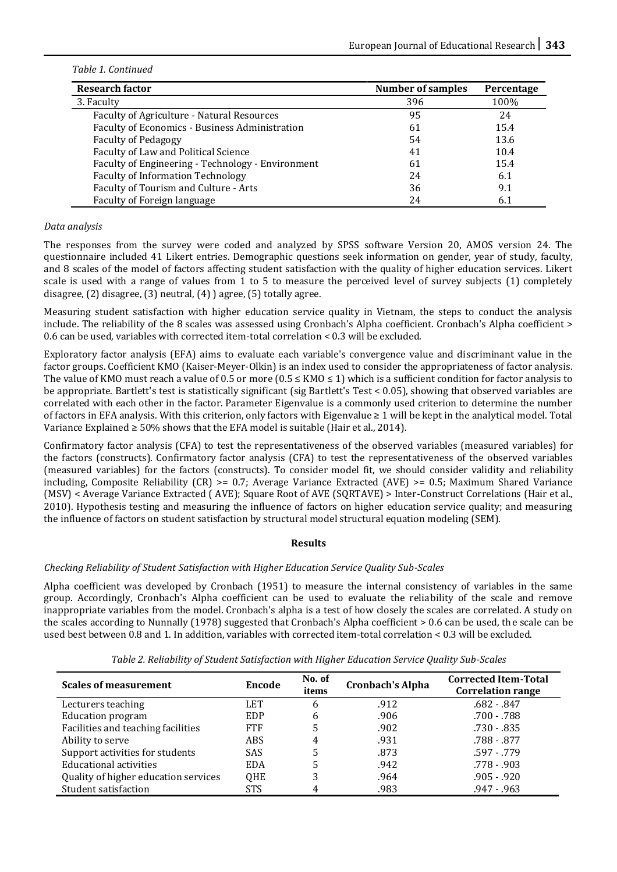## *Table 1. Continued*

| <b>Research factor</b>                            | <b>Number of samples</b> | Percentage |
|---------------------------------------------------|--------------------------|------------|
| 3. Faculty                                        | 396                      | 100%       |
| Faculty of Agriculture - Natural Resources        | 95                       | 24         |
| Faculty of Economics - Business Administration    | 61                       | 15.4       |
| <b>Faculty of Pedagogy</b>                        | 54                       | 13.6       |
| Faculty of Law and Political Science              | 41                       | 10.4       |
| Faculty of Engineering - Technology - Environment | 61                       | 15.4       |
| <b>Faculty of Information Technology</b>          | 24                       | 6.1        |
| Faculty of Tourism and Culture - Arts             | 36                       | 9.1        |
| Faculty of Foreign language                       | 24                       | 6.1        |

# *Data analysis*

The responses from the survey were coded and analyzed by SPSS software Version 20, AMOS version 24. The questionnaire included 41 Likert entries. Demographic questions seek information on gender, year of study, faculty, and 8 scales of the model of factors affecting student satisfaction with the quality of higher education services. Likert scale is used with a range of values from 1 to 5 to measure the perceived level of survey subjects (1) completely disagree, (2) disagree, (3) neutral, (4) ) agree, (5) totally agree.

Measuring student satisfaction with higher education service quality in Vietnam, the steps to conduct the analysis include. The reliability of the 8 scales was assessed using Cronbach's Alpha coefficient. Cronbach's Alpha coefficient > 0.6 can be used, variables with corrected item-total correlation < 0.3 will be excluded.

Exploratory factor analysis (EFA) aims to evaluate each variable's convergence value and discriminant value in the factor groups. Coefficient KMO (Kaiser-Meyer-Olkin) is an index used to consider the appropriateness of factor analysis. The value of KMO must reach a value of 0.5 or more (0.5  $\leq$  KMO  $\leq$  1) which is a sufficient condition for factor analysis to be appropriate. Bartlett's test is statistically significant (sig Bartlett's Test < 0.05), showing that observed variables are correlated with each other in the factor. Parameter Eigenvalue is a commonly used criterion to determine the number of factors in EFA analysis. With this criterion, only factors with Eigenvalue ≥ 1 will be kept in the analytical model. Total Variance Explained  $\geq 50\%$  shows that the EFA model is suitable (Hair et al., 2014).

Confirmatory factor analysis (CFA) to test the representativeness of the observed variables (measured variables) for the factors (constructs). Confirmatory factor analysis (CFA) to test the representativeness of the observed variables (measured variables) for the factors (constructs). To consider model fit, we should consider validity and reliability including, Composite Reliability (CR) >= 0.7; Average Variance Extracted (AVE) >= 0.5; Maximum Shared Variance (MSV) < Average Variance Extracted ( AVE); Square Root of AVE (SQRTAVE) > Inter-Construct Correlations (Hair et al., 2010). Hypothesis testing and measuring the influence of factors on higher education service quality; and measuring the influence of factors on student satisfaction by structural model structural equation modeling (SEM).

## **Results**

# *Checking Reliability of Student Satisfaction with Higher Education Service Quality Sub-Scales*

Alpha coefficient was developed by Cronbach (1951) to measure the internal consistency of variables in the same group. Accordingly, Cronbach's Alpha coefficient can be used to evaluate the reliability of the scale and remove inappropriate variables from the model. Cronbach's alpha is a test of how closely the scales are correlated. A study on the scales according to Nunnally (1978) suggested that Cronbach's Alpha coefficient > 0.6 can be used, the scale can be used best between 0.8 and 1. In addition, variables with corrected item-total correlation < 0.3 will be excluded.

| <b>Scales of measurement</b>         | Encode     | No. of<br>items | <b>Cronbach's Alpha</b> | <b>Corrected Item-Total</b><br><b>Correlation range</b> |
|--------------------------------------|------------|-----------------|-------------------------|---------------------------------------------------------|
| Lecturers teaching                   | <b>LET</b> | 6               | .912                    | $.682 - .847$                                           |
| <b>Education program</b>             | EDP        | 6               | .906                    | .700 - .788                                             |
| Facilities and teaching facilities   | <b>FTF</b> | 5               | .902                    | $.730 - .835$                                           |
| Ability to serve                     | ABS        | 4               | .931                    | .788 - .877                                             |
| Support activities for students      | <b>SAS</b> | 5               | .873                    | $.597 - .779$                                           |
| <b>Educational activities</b>        | <b>EDA</b> | 5               | .942                    | $.778 - .903$                                           |
| Quality of higher education services | QHE        | 3               | .964                    | $.905 - .920$                                           |
| Student satisfaction                 | STS        | 4               | .983                    | $.947 - .963$                                           |

*Table 2. Reliability of Student Satisfaction with Higher Education Service Quality Sub-Scales*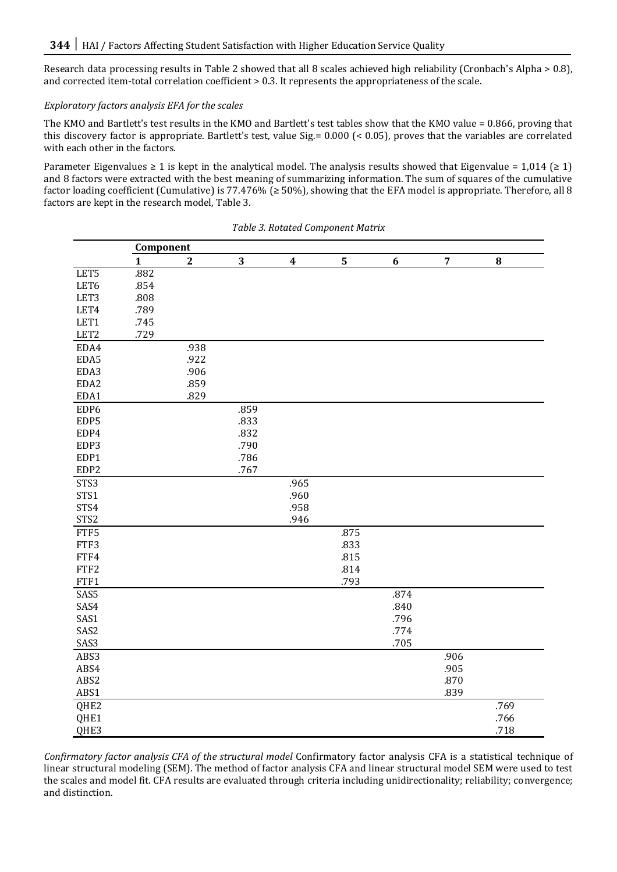Research data processing results in Table 2 showed that all 8 scales achieved high reliability (Cronbach's Alpha > 0.8), and corrected item-total correlation coefficient > 0.3. It represents the appropriateness of the scale.

# *Exploratory factors analysis EFA for the scales*

The KMO and Bartlett's test results in the KMO and Bartlett's test tables show that the KMO value = 0.866, proving that this discovery factor is appropriate. Bartlett's test, value Sig.= 0.000 (< 0.05), proves that the variables are correlated with each other in the factors.

Parameter Eigenvalues  $\geq 1$  is kept in the analytical model. The analysis results showed that Eigenvalue = 1,014 ( $\geq 1$ ) and 8 factors were extracted with the best meaning of summarizing information. The sum of squares of the cumulative factor loading coefficient (Cumulative) is 77.476% ( $\geq$  50%), showing that the EFA model is appropriate. Therefore, all 8 factors are kept in the research model, Table 3.

|                  | Component    |                |      |                  |                |                  |                |           |
|------------------|--------------|----------------|------|------------------|----------------|------------------|----------------|-----------|
|                  | $\mathbf{1}$ | $\overline{2}$ | 3    | $\boldsymbol{4}$ | $\overline{5}$ | $\boldsymbol{6}$ | $\overline{7}$ | ${\bf 8}$ |
| LET5             | .882         |                |      |                  |                |                  |                |           |
| LET6             | .854         |                |      |                  |                |                  |                |           |
| LET3             | .808         |                |      |                  |                |                  |                |           |
| LET4             | .789         |                |      |                  |                |                  |                |           |
| LET1             | .745         |                |      |                  |                |                  |                |           |
| LET <sub>2</sub> | .729         |                |      |                  |                |                  |                |           |
| EDA4             |              | .938           |      |                  |                |                  |                |           |
| EDA5             |              | .922           |      |                  |                |                  |                |           |
| EDA3             |              | .906           |      |                  |                |                  |                |           |
| EDA2             |              | .859           |      |                  |                |                  |                |           |
| EDA1             |              | .829           |      |                  |                |                  |                |           |
| EDP6             |              |                | .859 |                  |                |                  |                |           |
| EDP5             |              |                | .833 |                  |                |                  |                |           |
| EDP4             |              |                | .832 |                  |                |                  |                |           |
| EDP3             |              |                | .790 |                  |                |                  |                |           |
| EDP1             |              |                | .786 |                  |                |                  |                |           |
| EDP2             |              |                | .767 |                  |                |                  |                |           |
| STS3             |              |                |      | .965             |                |                  |                |           |
| STS1             |              |                |      | .960             |                |                  |                |           |
| STS4             |              |                |      | .958             |                |                  |                |           |
| STS <sub>2</sub> |              |                |      | .946             |                |                  |                |           |
| FTF5             |              |                |      |                  | .875           |                  |                |           |
| FTF3             |              |                |      |                  | .833           |                  |                |           |
| FTF4             |              |                |      |                  | .815           |                  |                |           |
| FTF2             |              |                |      |                  | .814           |                  |                |           |
| FTF1             |              |                |      |                  | .793           |                  |                |           |
| SAS5             |              |                |      |                  |                | .874             |                |           |
| SAS4             |              |                |      |                  |                | .840             |                |           |
| SAS1             |              |                |      |                  |                | .796             |                |           |
| SAS2             |              |                |      |                  |                | .774             |                |           |
| SAS3             |              |                |      |                  |                | .705             |                |           |
| ABS3             |              |                |      |                  |                |                  | .906           |           |
| ABS4             |              |                |      |                  |                |                  | .905           |           |
| ABS2             |              |                |      |                  |                |                  | .870           |           |
| ABS1             |              |                |      |                  |                |                  | .839           |           |
| QHE <sub>2</sub> |              |                |      |                  |                |                  |                | .769      |
| QHE1             |              |                |      |                  |                |                  |                | .766      |
| QHE3             |              |                |      |                  |                |                  |                | .718      |

*Table 3. Rotated Component Matrix*

*Confirmatory factor analysis CFA of the structural model* Confirmatory factor analysis CFA is a statistical technique of linear structural modeling (SEM). The method of factor analysis CFA and linear structural model SEM were used to test the scales and model fit. CFA results are evaluated through criteria including unidirectionality; reliability; convergence; and distinction.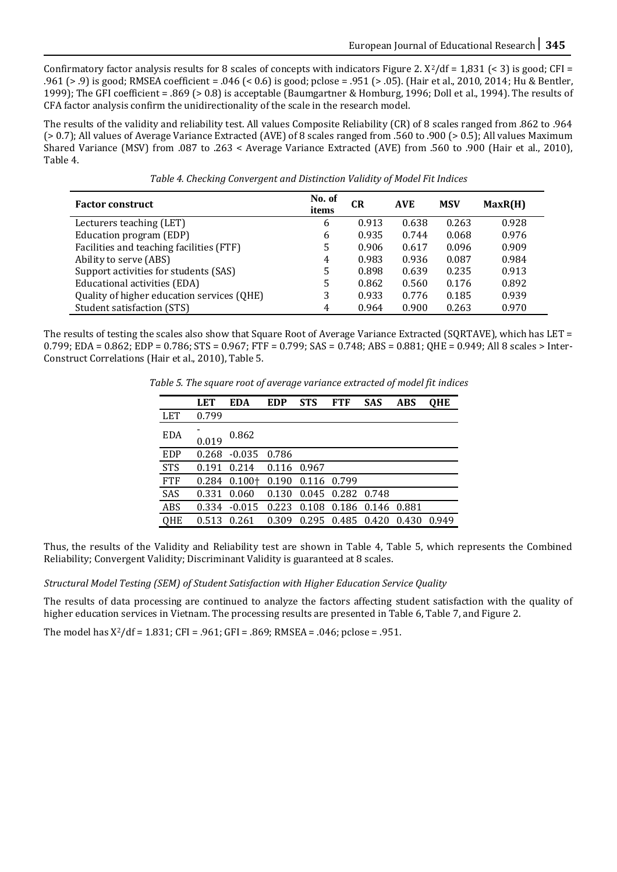Confirmatory factor analysis results for 8 scales of concepts with indicators Figure 2.  $X^2/df = 1,831$  (< 3) is good; CFI = .961 (> .9) is good; RMSEA coefficient = .046 (< 0.6) is good; pclose = .951 (> .05). (Hair et al., 2010, 2014; Hu & Bentler, 1999); The GFI coefficient = .869 (> 0.8) is acceptable (Baumgartner & Homburg, 1996; Doll et al., 1994). The results of CFA factor analysis confirm the unidirectionality of the scale in the research model.

The results of the validity and reliability test. All values Composite Reliability (CR) of 8 scales ranged from .862 to .964 (> 0.7); All values of Average Variance Extracted (AVE) of 8 scales ranged from .560 to .900 (> 0.5); All values Maximum Shared Variance (MSV) from .087 to .263 < Average Variance Extracted (AVE) from .560 to .900 (Hair et al., 2010), Table 4.

| Table 4. Checking Convergent and Distinction Validity of Model Fit Indices |  |
|----------------------------------------------------------------------------|--|
|                                                                            |  |
|                                                                            |  |
|                                                                            |  |

| <b>Factor construct</b>                    | No. of<br>items | <b>CR</b> | <b>AVE</b> | <b>MSV</b> | MaxR(H) |
|--------------------------------------------|-----------------|-----------|------------|------------|---------|
| Lecturers teaching (LET)                   | 6               | 0.913     | 0.638      | 0.263      | 0.928   |
| Education program (EDP)                    | 6               | 0.935     | 0.744      | 0.068      | 0.976   |
| Facilities and teaching facilities (FTF)   | 5               | 0.906     | 0.617      | 0.096      | 0.909   |
| Ability to serve (ABS)                     | 4               | 0.983     | 0.936      | 0.087      | 0.984   |
| Support activities for students (SAS)      | 5               | 0.898     | 0.639      | 0.235      | 0.913   |
| Educational activities (EDA)               | 5               | 0.862     | 0.560      | 0.176      | 0.892   |
| Quality of higher education services (QHE) | 3               | 0.933     | 0.776      | 0.185      | 0.939   |
| Student satisfaction (STS)                 | 4               | 0.964     | 0.900      | 0.263      | 0.970   |

The results of testing the scales also show that Square Root of Average Variance Extracted (SQRTAVE), which has LET =  $0.799$ ; EDA =  $0.862$ ; EDP =  $0.786$ ; STS =  $0.967$ ; FTF =  $0.799$ ; SAS =  $0.748$ ; ABS =  $0.881$ ; QHE =  $0.949$ ; All 8 scales > Inter-Construct Correlations (Hair et al., 2010), Table 5.

*Table 5. The square root of average variance extracted of model fit indices*

|            | <b>LET</b> | <b>EDA</b> | <b>EDP</b> | <b>STS</b>  | <b>FTF</b>  | <b>SAS</b>        | <b>ABS</b> | <b>QHE</b> |
|------------|------------|------------|------------|-------------|-------------|-------------------|------------|------------|
| <b>LET</b> | 0.799      |            |            |             |             |                   |            |            |
| <b>EDA</b> | 0.019      | 0.862      |            |             |             |                   |            |            |
| <b>EDP</b> | 0.268      | $-0.035$   | 0.786      |             |             |                   |            |            |
| <b>STS</b> | 0.191      | 0.214      | 0.116      | 0.967       |             |                   |            |            |
| <b>FTF</b> | 0.284      | $0.100 +$  | 0.190      | 0.116 0.799 |             |                   |            |            |
| SAS        | 0.331      | 0.060      | 0.130      | 0.045       | 0.282 0.748 |                   |            |            |
| ABS        | 0.334      | $-0.015$   | 0.223      | 0.108       |             | 0.186 0.146 0.881 |            |            |
| QHE        | 0.513      | 0.261      | 0.309      | 0.295       | 0.485 0.420 |                   | 0.430      | 0.949      |

Thus, the results of the Validity and Reliability test are shown in Table 4, Table 5, which represents the Combined Reliability; Convergent Validity; Discriminant Validity is guaranteed at 8 scales.

## *Structural Model Testing (SEM) of Student Satisfaction with Higher Education Service Quality*

The results of data processing are continued to analyze the factors affecting student satisfaction with the quality of higher education services in Vietnam. The processing results are presented in Table 6, Table 7, and Figure 2.

The model has  $X^2/df = 1.831$ ; CFI = .961; GFI = .869; RMSEA = .046; pclose = .951.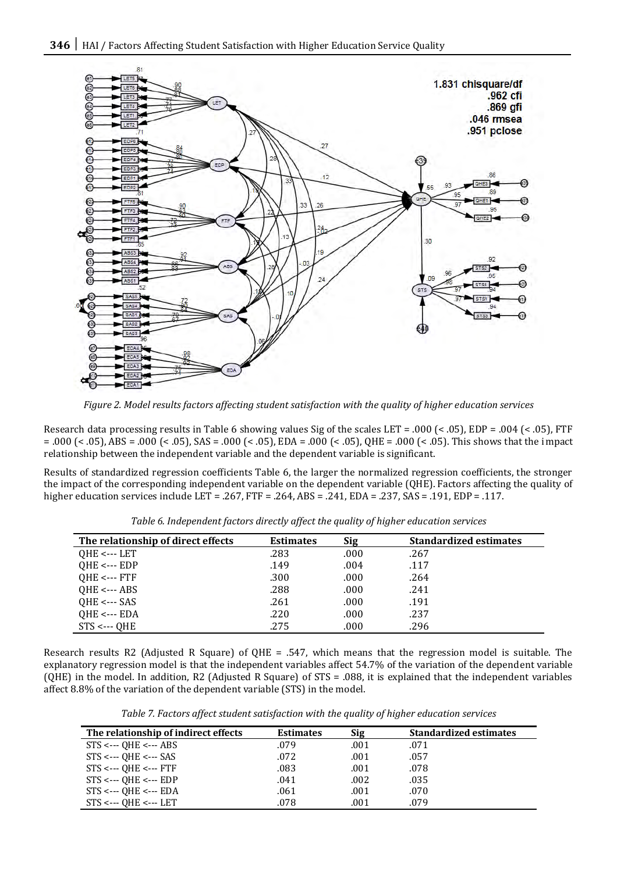

*Figure 2. Model results factors affecting student satisfaction with the quality of higher education services*

Research data processing results in Table 6 showing values Sig of the scales LET = .000 (< .05), EDP = .004 (< .05), FTF = .000 (< .05), ABS = .000 (< .05), SAS = .000 (< .05), EDA = .000 (< .05), QHE = .000 (< .05). This shows that the impact relationship between the independent variable and the dependent variable is significant.

Results of standardized regression coefficients Table 6, the larger the normalized regression coefficients, the stronger the impact of the corresponding independent variable on the dependent variable (QHE). Factors affecting the quality of higher education services include LET = .267, FTF = .264, ABS = .241, EDA = .237, SAS = .191, EDP = .117.

| The relationship of direct effects | <b>Estimates</b> | <b>Sig</b> | <b>Standardized estimates</b> |
|------------------------------------|------------------|------------|-------------------------------|
| $OHE \leftarrow$ --- LET           | .283             | .000       | .267                          |
| $QHE \leftarrow EDP$               | .149             | .004       | .117                          |
| $QHE \leftarrow FTF$               | .300             | .000       | .264                          |
| $QHE \leftarrow ABS$               | .288             | .000       | .241                          |
| $QHE \leftarrow$ -- SAS            | .261             | .000       | .191                          |
| $QHE \leftarrow EDA$               | .220             | .000       | .237                          |
| $STS \leftarrow QHE$               | .275             | .000       | .296                          |

*Table 6. Independent factors directly affect the quality of higher education services*

Research results R2 (Adjusted R Square) of QHE = .547, which means that the regression model is suitable. The explanatory regression model is that the independent variables affect 54.7% of the variation of the dependent variable (QHE) in the model. In addition, R2 (Adjusted R Square) of STS = .088, it is explained that the independent variables affect 8.8% of the variation of the dependent variable (STS) in the model.

*Table 7. Factors affect student satisfaction with the quality of higher education services*

| The relationship of indirect effects            | <b>Estimates</b> | Sig  | <b>Standardized estimates</b> |
|-------------------------------------------------|------------------|------|-------------------------------|
| $STS \leftarrow$ OHE $\leftarrow$ ABS           | .079             | .001 | .071                          |
| $STS \leftarrow$ OHE $\leftarrow$ SAS           | .072             | .001 | .057                          |
| $STS \leftarrow$ OHE $\leftarrow$ FTF           | .083             | .001 | .078                          |
| $STS \leftarrow$ OHE $\leftarrow$ EDP           | .041             | .002 | .035                          |
| $STS \leftarrow$ OHE $\leftarrow$ EDA           | .061             | .001 | .070                          |
| $STS \leftarrow \neg$ OHE $\leftarrow \neg$ LET | .078             | .001 | .079                          |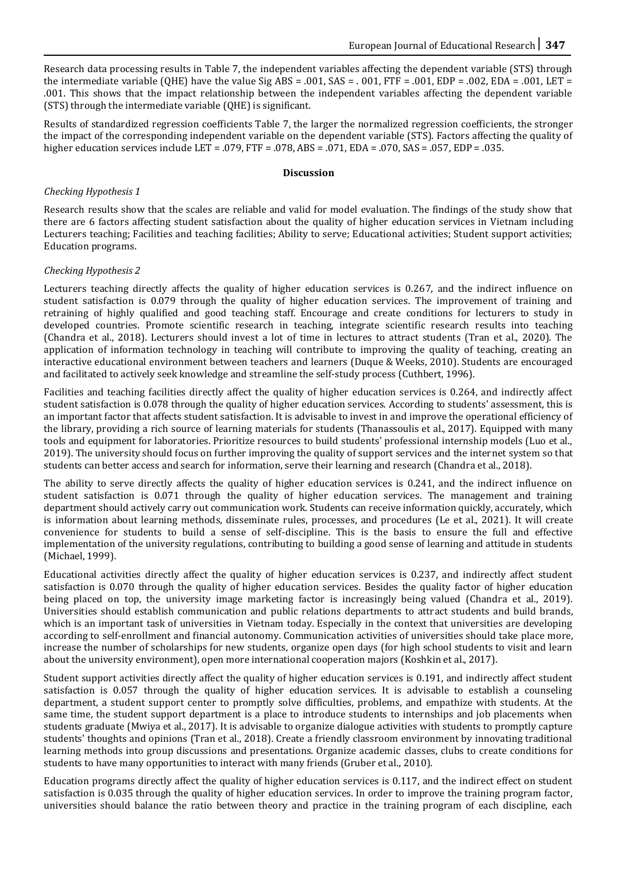Research data processing results in Table 7, the independent variables affecting the dependent variable (STS) through the intermediate variable (QHE) have the value Sig ABS = .001, SAS = .001, FTF = .001, EDP = .002, EDA = .001, LET = .001. This shows that the impact relationship between the independent variables affecting the dependent variable (STS) through the intermediate variable (QHE) is significant.

Results of standardized regression coefficients Table 7, the larger the normalized regression coefficients, the stronger the impact of the corresponding independent variable on the dependent variable (STS). Factors affecting the quality of higher education services include LET = .079, FTF = .078, ABS = .071, EDA = .070, SAS = .057, EDP = .035.

#### **Discussion**

# *Checking Hypothesis 1*

Research results show that the scales are reliable and valid for model evaluation. The findings of the study show that there are 6 factors affecting student satisfaction about the quality of higher education services in Vietnam including Lecturers teaching; Facilities and teaching facilities; Ability to serve; Educational activities; Student support activities; Education programs.

# *Checking Hypothesis 2*

Lecturers teaching directly affects the quality of higher education services is 0.267, and the indirect influence on student satisfaction is 0.079 through the quality of higher education services. The improvement of training and retraining of highly qualified and good teaching staff. Encourage and create conditions for lecturers to study in developed countries. Promote scientific research in teaching, integrate scientific research results into teaching (Chandra et al., 2018). Lecturers should invest a lot of time in lectures to attract students (Tran et al., 2020). The application of information technology in teaching will contribute to improving the quality of teaching, creating an interactive educational environment between teachers and learners (Duque & Weeks, 2010). Students are encouraged and facilitated to actively seek knowledge and streamline the self-study process (Cuthbert, 1996).

Facilities and teaching facilities directly affect the quality of higher education services is 0.264, and indirectly affect student satisfaction is 0.078 through the quality of higher education services. According to students' assessment, this is an important factor that affects student satisfaction. It is advisable to invest in and improve the operational efficiency of the library, providing a rich source of learning materials for students (Thanassoulis et al., 2017). Equipped with many tools and equipment for laboratories. Prioritize resources to build students' professional internship models (Luo et al., 2019). The university should focus on further improving the quality of support services and the internet system so that students can better access and search for information, serve their learning and research (Chandra et al., 2018).

The ability to serve directly affects the quality of higher education services is 0.241, and the indirect influence on student satisfaction is 0.071 through the quality of higher education services. The management and training department should actively carry out communication work. Students can receive information quickly, accurately, which is information about learning methods, disseminate rules, processes, and procedures (Le et al., 2021). It will create convenience for students to build a sense of self-discipline. This is the basis to ensure the full and effective implementation of the university regulations, contributing to building a good sense of learning and attitude in students (Michael, 1999).

Educational activities directly affect the quality of higher education services is 0.237, and indirectly affect student satisfaction is 0.070 through the quality of higher education services. Besides the quality factor of higher education being placed on top, the university image marketing factor is increasingly being valued (Chandra et al., 2019). Universities should establish communication and public relations departments to attract students and build brands, which is an important task of universities in Vietnam today. Especially in the context that universities are developing according to self-enrollment and financial autonomy. Communication activities of universities should take place more, increase the number of scholarships for new students, organize open days (for high school students to visit and learn about the university environment), open more international cooperation majors (Koshkin et al., 2017).

Student support activities directly affect the quality of higher education services is 0.191, and indirectly affect student satisfaction is 0.057 through the quality of higher education services. It is advisable to establish a counseling department, a student support center to promptly solve difficulties, problems, and empathize with students. At the same time, the student support department is a place to introduce students to internships and job placements when students graduate (Mwiya et al., 2017). It is advisable to organize dialogue activities with students to promptly capture students' thoughts and opinions (Tran et al., 2018). Create a friendly classroom environment by innovating traditional learning methods into group discussions and presentations. Organize academic classes, clubs to create conditions for students to have many opportunities to interact with many friends (Gruber et al., 2010).

Education programs directly affect the quality of higher education services is 0.117, and the indirect effect on student satisfaction is 0.035 through the quality of higher education services. In order to improve the training program factor, universities should balance the ratio between theory and practice in the training program of each discipline, each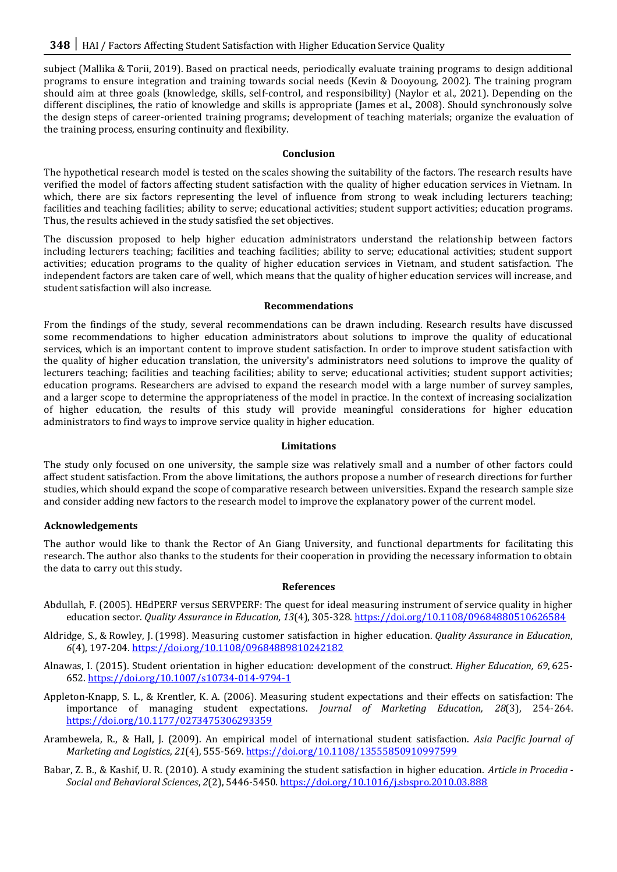subject (Mallika & Torii, 2019). Based on practical needs, periodically evaluate training programs to design additional programs to ensure integration and training towards social needs (Kevin & Dooyoung, 2002). The training program should aim at three goals (knowledge, skills, self-control, and responsibility) (Naylor et al., 2021). Depending on the different disciplines, the ratio of knowledge and skills is appropriate (James et al., 2008). Should synchronously solve the design steps of career-oriented training programs; development of teaching materials; organize the evaluation of the training process, ensuring continuity and flexibility.

## **Conclusion**

The hypothetical research model is tested on the scales showing the suitability of the factors. The research results have verified the model of factors affecting student satisfaction with the quality of higher education services in Vietnam. In which, there are six factors representing the level of influence from strong to weak including lecturers teaching; facilities and teaching facilities; ability to serve; educational activities; student support activities; education programs. Thus, the results achieved in the study satisfied the set objectives.

The discussion proposed to help higher education administrators understand the relationship between factors including lecturers teaching; facilities and teaching facilities; ability to serve; educational activities; student support activities; education programs to the quality of higher education services in Vietnam, and student satisfaction. The independent factors are taken care of well, which means that the quality of higher education services will increase, and student satisfaction will also increase.

## **Recommendations**

From the findings of the study, several recommendations can be drawn including. Research results have discussed some recommendations to higher education administrators about solutions to improve the quality of educational services, which is an important content to improve student satisfaction. In order to improve student satisfaction with the quality of higher education translation, the university's administrators need solutions to improve the quality of lecturers teaching; facilities and teaching facilities; ability to serve; educational activities; student support activities; education programs. Researchers are advised to expand the research model with a large number of survey samples, and a larger scope to determine the appropriateness of the model in practice. In the context of increasing socialization of higher education, the results of this study will provide meaningful considerations for higher education administrators to find ways to improve service quality in higher education.

## **Limitations**

The study only focused on one university, the sample size was relatively small and a number of other factors could affect student satisfaction. From the above limitations, the authors propose a number of research directions for further studies, which should expand the scope of comparative research between universities. Expand the research sample size and consider adding new factors to the research model to improve the explanatory power of the current model.

# **Acknowledgements**

The author would like to thank the Rector of An Giang University, and functional departments for facilitating this research. The author also thanks to the students for their cooperation in providing the necessary information to obtain the data to carry out this study.

## **References**

- Abdullah, F. (2005). HEdPERF versus SERVPERF: The quest for ideal measuring instrument of service quality in higher education sector. *Quality Assurance in Education, 13*(4), 305-328.<https://doi.org/10.1108/09684880510626584>
- Aldridge, S., & Rowley, J. (1998). Measuring customer satisfaction in higher education. *Quality Assurance in Education*, *6*(4), 197-204. <https://doi.org/10.1108/09684889810242182>
- Alnawas, I. (2015). Student orientation in higher education: development of the construct. *Higher Education, 69*, 625- 652[. https://doi.org/10.1007/s10734-014-9794-1](https://doi.org/10.1007/s10734-014-9794-1)
- Appleton-Knapp, S. L., & Krentler, K. A. (2006). Measuring student expectations and their effects on satisfaction: The importance of managing student expectations. *Journal of Marketing Education, 28*(3), 254-264. <https://doi.org/10.1177/0273475306293359>
- Arambewela, R., & Hall, J. (2009). An empirical model of international student satisfaction. *Asia Pacific Journal of Marketing and Logistics*, *21*(4), 555-569[. https://doi.org/10.1108/13555850910997599](https://doi.org/10.1108/13555850910997599)
- Babar, Z. B., & Kashif, U. R. (2010). A study examining the student satisfaction in higher education. *Article in Procedia - Social and Behavioral Sciences*, *2*(2), 5446-5450[. https://doi.org/10.1016/j.sbspro.2010.03.888](https://doi.org/10.1016/j.sbspro.2010.03.888)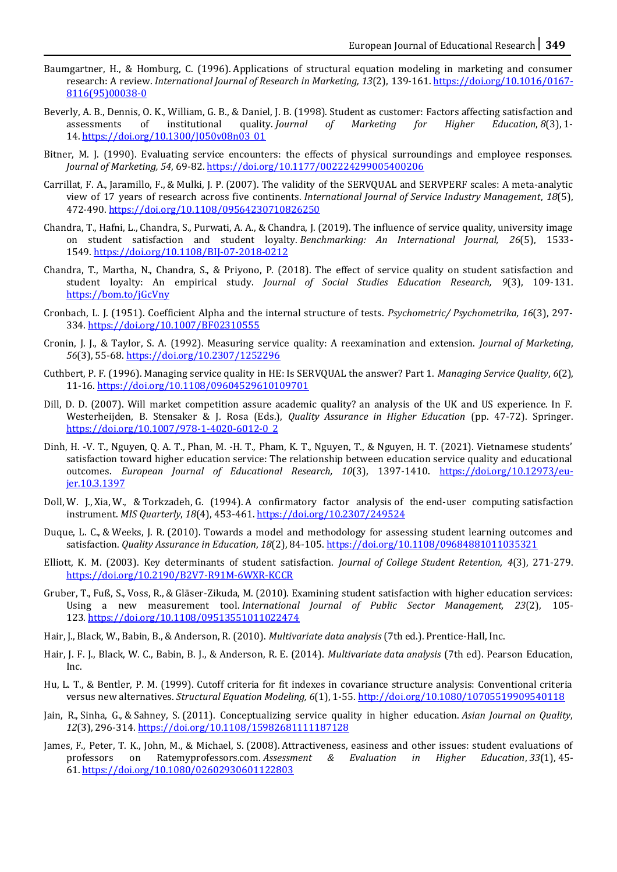- Baumgartner, H., & Homburg, C. (1996). Applications of structural equation modeling in marketing and consumer research: A review. *International Journal of Research in Marketing, 13*(2), 139-161. [https://doi.org/10.1016/0167-](https://doi.org/10.1016/0167-8116(95)00038-0) [8116\(95\)00038-0](https://doi.org/10.1016/0167-8116(95)00038-0)
- Beverly, A. B., Dennis, O. K., William, G. B., & Daniel, J. B. (1998). Student as customer: Factors affecting satisfaction and assessments of institutional quality. *Journal of Marketing for Higher Education*, *8*(3), 1- 14. [https://doi.org/10.1300/J050v08n03\\_01](https://doi.org/10.1300/J050v08n03_01)
- Bitner, M. J. (1990). Evaluating service encounters: the effects of physical surroundings and employee responses. *Journal of Marketing, 54*, 69-82[. https://doi.org/10.1177/002224299005400206](https://doi.org/10.1177/002224299005400206)
- Carrillat, F. A., Jaramillo, F., & Mulki, J. P. (2007). The validity of the SERVQUAL and SERVPERF scales: A meta‐analytic view of 17 years of research across five continents. *International Journal of Service Industry Management*, *18*(5), 472-490. <https://doi.org/10.1108/09564230710826250>
- Chandra, T., Hafni, L., Chandra, S., Purwati, A. A., & Chandra, J. (2019). The influence of service quality, university image on student satisfaction and student loyalty. *Benchmarking: An International Journal, 26*(5), 1533- 1549. <https://doi.org/10.1108/BIJ-07-2018-0212>
- Chandra, T., Martha, N., Chandra, S., & Priyono, P. (2018). The effect of service quality on student satisfaction and student loyalty: An empirical study. *Journal of Social Studies Education Research, 9*(3), 109-131. <https://bom.to/jGcVny>
- Cronbach, L. J. (1951). Coefficient Alpha and the internal structure of tests. *Psychometric/ Psychometrika, 16*(3), 297- 334[. https://doi.org/10.1007/BF02310555](https://doi.org/10.1007/BF02310555)
- Cronin, J. J., & Taylor, S. A. (1992). Measuring service quality: A reexamination and extension. *Journal of Marketing*, *56*(3), 55-68[. https://doi.org/10.2307/1252296](https://doi.org/10.2307/1252296)
- Cuthbert, P. F. (1996). Managing service quality in HE: Is SERVQUAL the answer? Part 1. *Managing Service Quality*, *6*(2), 11-16[. https://doi.org/10.1108/09604529610109701](https://doi.org/10.1108/09604529610109701)
- Dill, D. D. (2007). Will market competition assure academic quality? an analysis of the UK and US experience. In F. Westerheijden, B. Stensaker & J. Rosa (Eds.), *Quality Assurance in Higher Education* (pp. 47-72). Springer. [https://doi.org/10.1007/978-1-4020-6012-0\\_2](https://doi.org/10.1007/978-1-4020-6012-0_2)
- Dinh, H. -V. T., Nguyen, Q. A. T., Phan, M. -H. T., Pham, K. T., Nguyen, T., & Nguyen, H. T. (2021). Vietnamese students' satisfaction toward higher education service: The relationship between education service quality and educational outcomes. *European Journal of Educational Research, 10*(3), 1397-1410. [https://doi.org/10.12973/eu](https://doi.org/10.12973/eu-jer.10.3.1397)[jer.10.3.1397](https://doi.org/10.12973/eu-jer.10.3.1397)
- Doll, W. J., Xia, W., & Torkzadeh, G. (1994). A confirmatory factor analysis of the end-user computing satisfaction instrument. *MIS Quarterly*, *18*(4), 453-461[. https://doi.org/10.2307/249524](https://doi.org/10.2307/249524)
- Duque, L. C., & Weeks, J. R. (2010). Towards a model and methodology for assessing student learning outcomes and satisfaction. *Quality Assurance in Education*, *18*(2), 84-105. <https://doi.org/10.1108/09684881011035321>
- Elliott, K. M. (2003). Key determinants of student satisfaction. *Journal of College Student Retention, 4*(3), 271-279. <https://doi.org/10.2190/B2V7-R91M-6WXR-KCCR>
- Gruber, T., Fuß, S., Voss, R., & Gläser‐Zikuda, M. (2010). Examining student satisfaction with higher education services: Using a new measurement tool. *International Journal of Public Sector Management, 23*(2), 105- 123. <https://doi.org/10.1108/09513551011022474>
- Hair, J., Black, W., Babin, B., & Anderson, R. (2010). *Multivariate data analysis* (7th ed.). Prentice-Hall, Inc.
- Hair, J. F. J., Black, W. C., Babin, B. J., & Anderson, R. E. (2014). *Multivariate data analysis* (7th ed). Pearson Education, Inc.
- Hu, L. T., & Bentler, P. M. (1999). Cutoff criteria for fit indexes in covariance structure analysis: Conventional criteria versus new alternatives. *Structural Equation Modeling, 6*(1), 1-55[. http://doi.org/10.1080/10705519909540118](http://doi.org/10.1080/10705519909540118)
- Jain, R., Sinha, G., & Sahney, S. (2011). Conceptualizing service quality in higher education. *Asian Journal on Quality*, *12*(3), 296-314. <https://doi.org/10.1108/15982681111187128>
- James, F., Peter, T. K., John, M., & Michael, S. (2008). Attractiveness, easiness and other issues: student evaluations of professors on Ratemyprofessors.com. *Assessment & Evaluation in Higher Education*, *33*(1), 45- 61. <https://doi.org/10.1080/02602930601122803>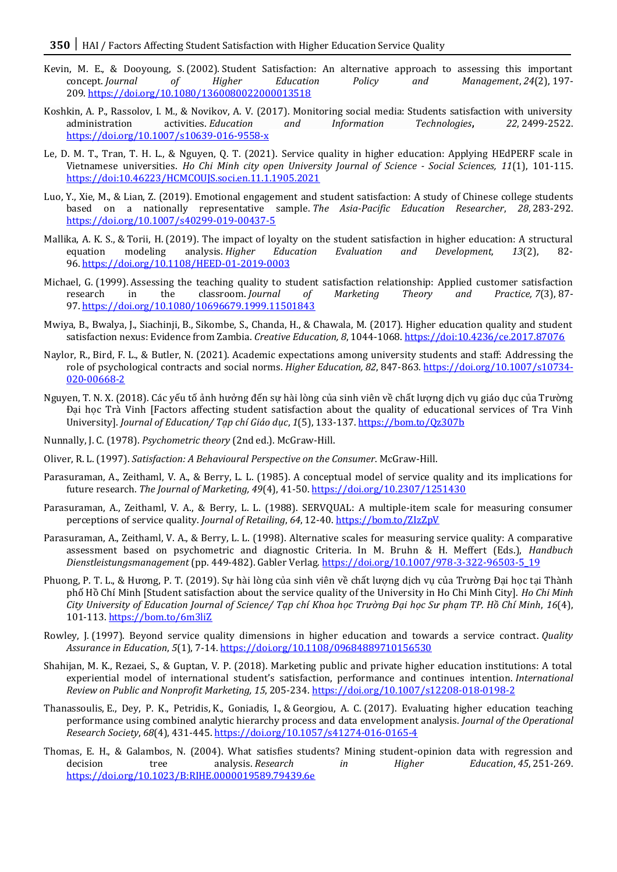- Kevin, M. E., & Dooyoung, S. (2002). Student Satisfaction: An alternative approach to assessing this important concept. *Journal of Higher Education Policy and Management*, *24*(2), 197- 209. <https://doi.org/10.1080/1360080022000013518>
- Koshkin, A. P., Rassolov, I. M., & Novikov, A. V. (2017). Monitoring social media: Students satisfaction with university administration activities. *Education and Information Technologies***,** *22*, 2499-2522. <https://doi.org/10.1007/s10639-016-9558-x>
- Le, D. M. T., Tran, T. H. L., & Nguyen, Q. T. (2021). Service quality in higher education: Applying HEdPERF scale in Vietnamese universities. *Ho Chi Minh city open University Journal of Science - Social Sciences, 11*(1), 101-115. <https://doi:10.46223/HCMCOUJS.soci.en.11.1.1905.2021>
- Luo, Y., Xie, M., & Lian, Z. (2019). Emotional engagement and student satisfaction: A study of Chinese college students based on a nationally representative sample. *The Asia-Pacific Education Researcher*, *28*, 283-292. <https://doi.org/10.1007/s40299-019-00437-5>
- Mallika, A. K. S., & Torii, H. (2019). The impact of loyalty on the student satisfaction in higher education: A structural equation modeling analysis. *Higher Education Evaluation and Development, 13*(2), 82- 96. <https://doi.org/10.1108/HEED-01-2019-0003>
- Michael, G. (1999). Assessing the teaching quality to student satisfaction relationship: Applied customer satisfaction research in the classroom. *Journal of Marketing Theory and Practice, 7*(3), 87- 97. <https://doi.org/10.1080/10696679.1999.11501843>
- Mwiya, B., Bwalya, J., Siachinji, B., Sikombe, S., Chanda, H., & Chawala, M. (2017). Higher education quality and student satisfaction nexus: Evidence from Zambia. *Creative Education, 8*, 1044-1068[. https://doi:10.4236/ce.2017.87076](https://doi:10.4236/ce.2017.87076)
- Naylor, R., Bird, F. L., & Butler, N. (2021). Academic expectations among university students and staff: Addressing the role of psychological contracts and social norms. *Higher Education, 82*, 847-863*.* [https://doi.org/10.1007/s10734-](https://doi.org/10.1007/s10734-020-00668-2) [020-00668-2](https://doi.org/10.1007/s10734-020-00668-2)
- Nguyen, T. N. X. (2018). Các yếu tố ảnh hưởng đến sự hài lòng của sinh viên về chất lượng dịch vụ giáo dục của Trường Đại học Trà Vinh [Factors affecting student satisfaction about the quality of educational services of Tra Vinh University]. *Journal of Education/ Tạp chí Giáo dục*, *1*(5), 133-137[. https://bom.to/Qz307b](https://bom.to/Qz307b)
- Nunnally, J. C. (1978). *Psychometric theory* (2nd ed.). McGraw-Hill.
- Oliver, R. L. (1997). *Satisfaction: A Behavioural Perspective on the Consumer*. McGraw-Hill.
- Parasuraman, A., Zeithaml, V. A., & Berry, L. L. (1985). A conceptual model of service quality and its implications for future research. *The Journal of Marketing, 49*(4), 41-50[. https://doi.org/10.2307/1251430](https://doi.org/10.2307/1251430)
- Parasuraman, A., Zeithaml, V. A., & Berry, L. L. (1988). SERVQUAL: A multiple-item scale for measuring consumer perceptions of service quality. *Journal of Retailing*, *64*, 12-40.<https://bom.to/ZIzZpV>
- Parasuraman, A., Zeithaml, V. A., & Berry, L. L. (1998). Alternative scales for measuring service quality: A comparative assessment based on psychometric and diagnostic Criteria. In M. Bruhn & H. Meffert (Eds.), *Handbuch Dienstleistungsmanagement* (pp. 449-482). Gabler Verlag[. https://doi.org/10.1007/978-3-322-96503-5\\_19](https://doi.org/10.1007/978-3-322-96503-5_19)
- Phuong, P. T. L., & Hương, P. T. (2019). Sư hài lòng của sinh viên về chất lương dịch vụ của Trường Đại học tại Thành phố Hồ Chí Minh [Student satisfaction about the service quality of the University in Ho Chi Minh City]. *Ho Chi Minh City University of Education Journal of Science/ Tạp chí Khoa học Trường Đại học Sư phạm TP. Hồ Chí Minh*, *16*(4), 101-113[. https://bom.to/6m3liZ](https://bom.to/6m3liZ)
- Rowley, J. (1997). Beyond service quality dimensions in higher education and towards a service contract. *Quality Assurance in Education*, *5*(1), 7-14. <https://doi.org/10.1108/09684889710156530>
- Shahijan, M. K., Rezaei, S., & Guptan, V. P. (2018). Marketing public and private higher education institutions: A total experiential model of international student's satisfaction, performance and continues intention. *International Review on Public and Nonprofit Marketing, 15*, 205-234[. https://doi.org/10.1007/s12208-018-0198-2](https://doi.org/10.1007/s12208-018-0198-2)
- Thanassoulis, E., Dey, P. K., Petridis, K., Goniadis, I., & Georgiou, A. C. (2017). Evaluating higher education teaching performance using combined analytic hierarchy process and data envelopment analysis. *Journal of the Operational Research Society*, *68*(4), 431-445[. https://doi.org/10.1057/s41274-016-0165-4](https://doi.org/10.1057/s41274-016-0165-4)
- Thomas, E. H., & Galambos, N. (2004). What satisfies students? Mining student-opinion data with regression and decision tree analysis. *Research in Higher Education*, *45*, 251-269. <https://doi.org/10.1023/B:RIHE.0000019589.79439.6e>